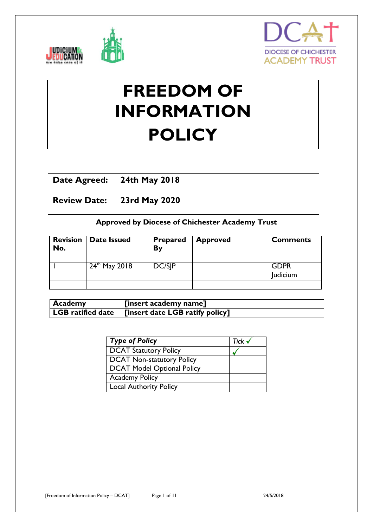



# **FREEDOM OF INFORMATION POLICY**

# **Date Agreed: 24th May 2018**

**Review Date: 23rd May 2020**

# **Approved by Diocese of Chichester Academy Trust**

| <b>Revision</b><br>No. | <b>Date Issued</b> | <b>Prepared</b><br>By | <b>Approved</b> | <b>Comments</b>         |
|------------------------|--------------------|-----------------------|-----------------|-------------------------|
|                        | $24^{th}$ May 2018 | DC/SIP                |                 | <b>GDPR</b><br>Judicium |
|                        |                    |                       |                 |                         |

| Academy | [insert academy name]                                         |
|---------|---------------------------------------------------------------|
|         | LGB ratified date $\,$   [insert date LGB ratify policy] $\,$ |

| Type of Policy               | Tick $\checkmark$ |
|------------------------------|-------------------|
| <b>DCAT Statutory Policy</b> |                   |
| DCAT Non-statutory Policy    |                   |
| DCAT Model Optional Policy   |                   |
| <b>Academy Policy</b>        |                   |
| Local Authority Policy       |                   |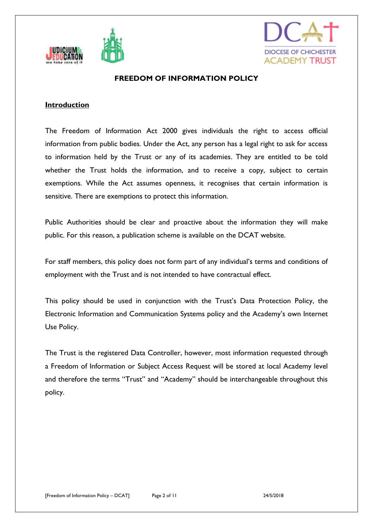



# **FREEDOM OF INFORMATION POLICY**

#### **Introduction**

The Freedom of Information Act 2000 gives individuals the right to access official information from public bodies. Under the Act, any person has a legal right to ask for access to information held by the Trust or any of its academies. They are entitled to be told whether the Trust holds the information, and to receive a copy, subject to certain exemptions. While the Act assumes openness, it recognises that certain information is sensitive. There are exemptions to protect this information.

Public Authorities should be clear and proactive about the information they will make public. For this reason, a publication scheme is available on the DCAT website.

For staff members, this policy does not form part of any individual's terms and conditions of employment with the Trust and is not intended to have contractual effect.

This policy should be used in conjunction with the Trust's Data Protection Policy, the Electronic Information and Communication Systems policy and the Academy's own Internet Use Policy.

The Trust is the registered Data Controller, however, most information requested through a Freedom of Information or Subject Access Request will be stored at local Academy level and therefore the terms "Trust" and "Academy" should be interchangeable throughout this policy.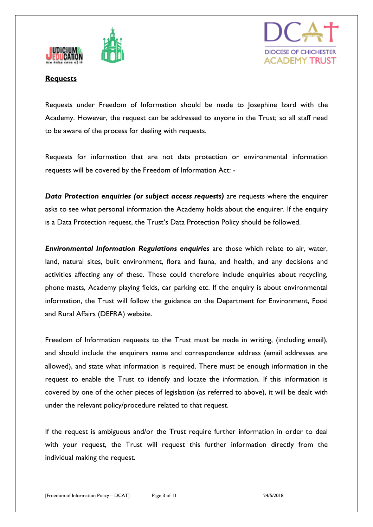





#### **Requests**

Requests under Freedom of Information should be made to Josephine Izard with the Academy. However, the request can be addressed to anyone in the Trust; so all staff need to be aware of the process for dealing with requests.

Requests for information that are not data protection or environmental information requests will be covered by the Freedom of Information Act: -

*Data Protection enquiries (or subject access requests)* are requests where the enquirer asks to see what personal information the Academy holds about the enquirer. If the enquiry is a Data Protection request, the Trust's Data Protection Policy should be followed.

*Environmental Information Regulations enquiries* are those which relate to air, water, land, natural sites, built environment, flora and fauna, and health, and any decisions and activities affecting any of these. These could therefore include enquiries about recycling, phone masts, Academy playing fields, car parking etc. If the enquiry is about environmental information, the Trust will follow the guidance on the Department for Environment, Food and Rural Affairs (DEFRA) website.

Freedom of Information requests to the Trust must be made in writing, (including email), and should include the enquirers name and correspondence address (email addresses are allowed), and state what information is required. There must be enough information in the request to enable the Trust to identify and locate the information. If this information is covered by one of the other pieces of legislation (as referred to above), it will be dealt with under the relevant policy/procedure related to that request.

If the request is ambiguous and/or the Trust require further information in order to deal with your request, the Trust will request this further information directly from the individual making the request.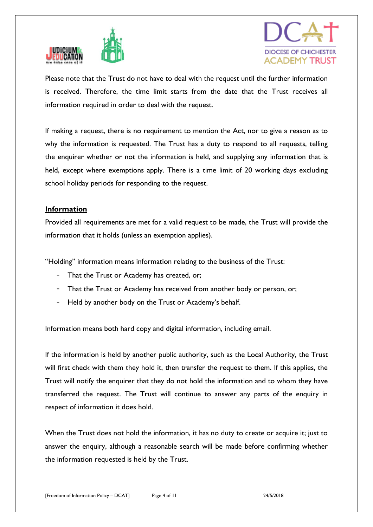



Please note that the Trust do not have to deal with the request until the further information is received. Therefore, the time limit starts from the date that the Trust receives all information required in order to deal with the request.

If making a request, there is no requirement to mention the Act, nor to give a reason as to why the information is requested. The Trust has a duty to respond to all requests, telling the enquirer whether or not the information is held, and supplying any information that is held, except where exemptions apply. There is a time limit of 20 working days excluding school holiday periods for responding to the request.

# **Information**

Provided all requirements are met for a valid request to be made, the Trust will provide the information that it holds (unless an exemption applies).

"Holding" information means information relating to the business of the Trust:

- That the Trust or Academy has created, or;
- That the Trust or Academy has received from another body or person, or;
- Held by another body on the Trust or Academy's behalf.

Information means both hard copy and digital information, including email.

If the information is held by another public authority, such as the Local Authority, the Trust will first check with them they hold it, then transfer the request to them. If this applies, the Trust will notify the enquirer that they do not hold the information and to whom they have transferred the request. The Trust will continue to answer any parts of the enquiry in respect of information it does hold.

When the Trust does not hold the information, it has no duty to create or acquire it; just to answer the enquiry, although a reasonable search will be made before confirming whether the information requested is held by the Trust.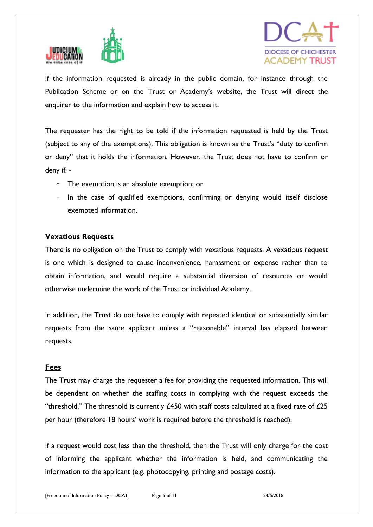



If the information requested is already in the public domain, for instance through the Publication Scheme or on the Trust or Academy's website, the Trust will direct the enquirer to the information and explain how to access it.

The requester has the right to be told if the information requested is held by the Trust (subject to any of the exemptions). This obligation is known as the Trust's "duty to confirm or deny" that it holds the information. However, the Trust does not have to confirm or deny if: -

- The exemption is an absolute exemption; or
- In the case of qualified exemptions, confirming or denying would itself disclose exempted information.

#### **Vexatious Requests**

There is no obligation on the Trust to comply with vexatious requests. A vexatious request is one which is designed to cause inconvenience, harassment or expense rather than to obtain information, and would require a substantial diversion of resources or would otherwise undermine the work of the Trust or individual Academy.

In addition, the Trust do not have to comply with repeated identical or substantially similar requests from the same applicant unless a "reasonable" interval has elapsed between requests.

#### **Fees**

The Trust may charge the requester a fee for providing the requested information. This will be dependent on whether the staffing costs in complying with the request exceeds the "threshold." The threshold is currently  $£450$  with staff costs calculated at a fixed rate of  $£25$ per hour (therefore 18 hours' work is required before the threshold is reached).

If a request would cost less than the threshold, then the Trust will only charge for the cost of informing the applicant whether the information is held, and communicating the information to the applicant (e.g. photocopying, printing and postage costs).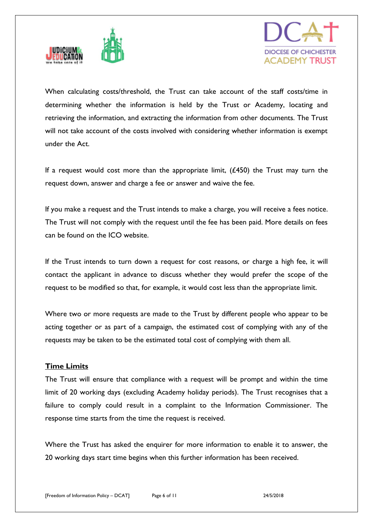



When calculating costs/threshold, the Trust can take account of the staff costs/time in determining whether the information is held by the Trust or Academy, locating and retrieving the information, and extracting the information from other documents. The Trust will not take account of the costs involved with considering whether information is exempt under the Act.

If a request would cost more than the appropriate limit,  $(E450)$  the Trust may turn the request down, answer and charge a fee or answer and waive the fee.

If you make a request and the Trust intends to make a charge, you will receive a fees notice. The Trust will not comply with the request until the fee has been paid. More details on fees can be found on the ICO website.

If the Trust intends to turn down a request for cost reasons, or charge a high fee, it will contact the applicant in advance to discuss whether they would prefer the scope of the request to be modified so that, for example, it would cost less than the appropriate limit.

Where two or more requests are made to the Trust by different people who appear to be acting together or as part of a campaign, the estimated cost of complying with any of the requests may be taken to be the estimated total cost of complying with them all.

# **Time Limits**

The Trust will ensure that compliance with a request will be prompt and within the time limit of 20 working days (excluding Academy holiday periods). The Trust recognises that a failure to comply could result in a complaint to the Information Commissioner. The response time starts from the time the request is received.

Where the Trust has asked the enquirer for more information to enable it to answer, the 20 working days start time begins when this further information has been received.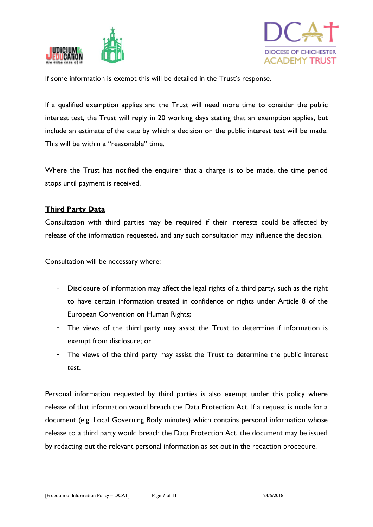



If some information is exempt this will be detailed in the Trust's response.

If a qualified exemption applies and the Trust will need more time to consider the public interest test, the Trust will reply in 20 working days stating that an exemption applies, but include an estimate of the date by which a decision on the public interest test will be made. This will be within a "reasonable" time.

Where the Trust has notified the enquirer that a charge is to be made, the time period stops until payment is received.

# **Third Party Data**

Consultation with third parties may be required if their interests could be affected by release of the information requested, and any such consultation may influence the decision.

Consultation will be necessary where:

- Disclosure of information may affect the legal rights of a third party, such as the right to have certain information treated in confidence or rights under Article 8 of the European Convention on Human Rights;
- The views of the third party may assist the Trust to determine if information is exempt from disclosure; or
- The views of the third party may assist the Trust to determine the public interest test.

Personal information requested by third parties is also exempt under this policy where release of that information would breach the Data Protection Act. If a request is made for a document (e.g. Local Governing Body minutes) which contains personal information whose release to a third party would breach the Data Protection Act, the document may be issued by redacting out the relevant personal information as set out in the redaction procedure.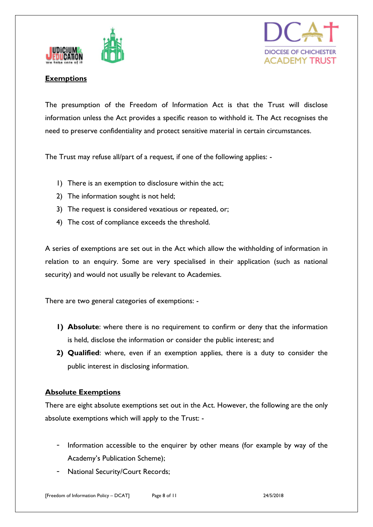



# **Exemptions**

The presumption of the Freedom of Information Act is that the Trust will disclose information unless the Act provides a specific reason to withhold it. The Act recognises the need to preserve confidentiality and protect sensitive material in certain circumstances.

The Trust may refuse all/part of a request, if one of the following applies: -

- 1) There is an exemption to disclosure within the act;
- 2) The information sought is not held;
- 3) The request is considered vexatious or repeated, or;
- 4) The cost of compliance exceeds the threshold.

A series of exemptions are set out in the Act which allow the withholding of information in relation to an enquiry. Some are very specialised in their application (such as national security) and would not usually be relevant to Academies.

There are two general categories of exemptions: -

- **1) Absolute**: where there is no requirement to confirm or deny that the information is held, disclose the information or consider the public interest; and
- **2) Qualified**: where, even if an exemption applies, there is a duty to consider the public interest in disclosing information.

#### **Absolute Exemptions**

There are eight absolute exemptions set out in the Act. However, the following are the only absolute exemptions which will apply to the Trust: -

- Information accessible to the enquirer by other means (for example by way of the Academy's Publication Scheme);
- National Security/Court Records;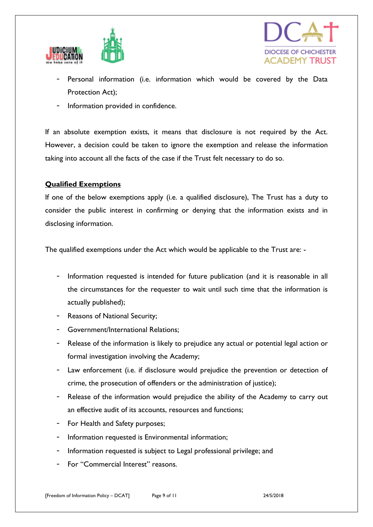



- Personal information (i.e. information which would be covered by the Data Protection Act);
- Information provided in confidence.

If an absolute exemption exists, it means that disclosure is not required by the Act. However, a decision could be taken to ignore the exemption and release the information taking into account all the facts of the case if the Trust felt necessary to do so.

# **Qualified Exemptions**

If one of the below exemptions apply (i.e. a qualified disclosure), The Trust has a duty to consider the public interest in confirming or denying that the information exists and in disclosing information.

The qualified exemptions under the Act which would be applicable to the Trust are: -

- Information requested is intended for future publication (and it is reasonable in all the circumstances for the requester to wait until such time that the information is actually published);
- Reasons of National Security;
- Government/International Relations;
- Release of the information is likely to prejudice any actual or potential legal action or formal investigation involving the Academy;
- Law enforcement (i.e. if disclosure would prejudice the prevention or detection of crime, the prosecution of offenders or the administration of justice);
- Release of the information would prejudice the ability of the Academy to carry out an effective audit of its accounts, resources and functions;
- For Health and Safety purposes;
- Information requested is Environmental information;
- Information requested is subject to Legal professional privilege; and
- For "Commercial Interest" reasons.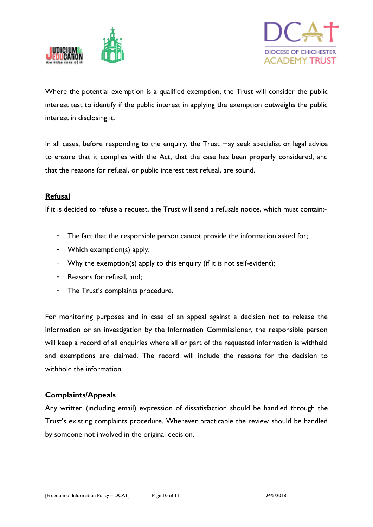



Where the potential exemption is a qualified exemption, the Trust will consider the public interest test to identify if the public interest in applying the exemption outweighs the public interest in disclosing it.

In all cases, before responding to the enquiry, the Trust may seek specialist or legal advice to ensure that it complies with the Act, that the case has been properly considered, and that the reasons for refusal, or public interest test refusal, are sound.

#### **Refusal**

If it is decided to refuse a request, the Trust will send a refusals notice, which must contain:-

- The fact that the responsible person cannot provide the information asked for;
- Which exemption(s) apply;
- Why the exemption(s) apply to this enquiry (if it is not self-evident);
- Reasons for refusal, and:
- The Trust's complaints procedure.

For monitoring purposes and in case of an appeal against a decision not to release the information or an investigation by the Information Commissioner, the responsible person will keep a record of all enquiries where all or part of the requested information is withheld and exemptions are claimed. The record will include the reasons for the decision to withhold the information.

#### **Complaints/Appeals**

Any written (including email) expression of dissatisfaction should be handled through the Trust's existing complaints procedure. Wherever practicable the review should be handled by someone not involved in the original decision.